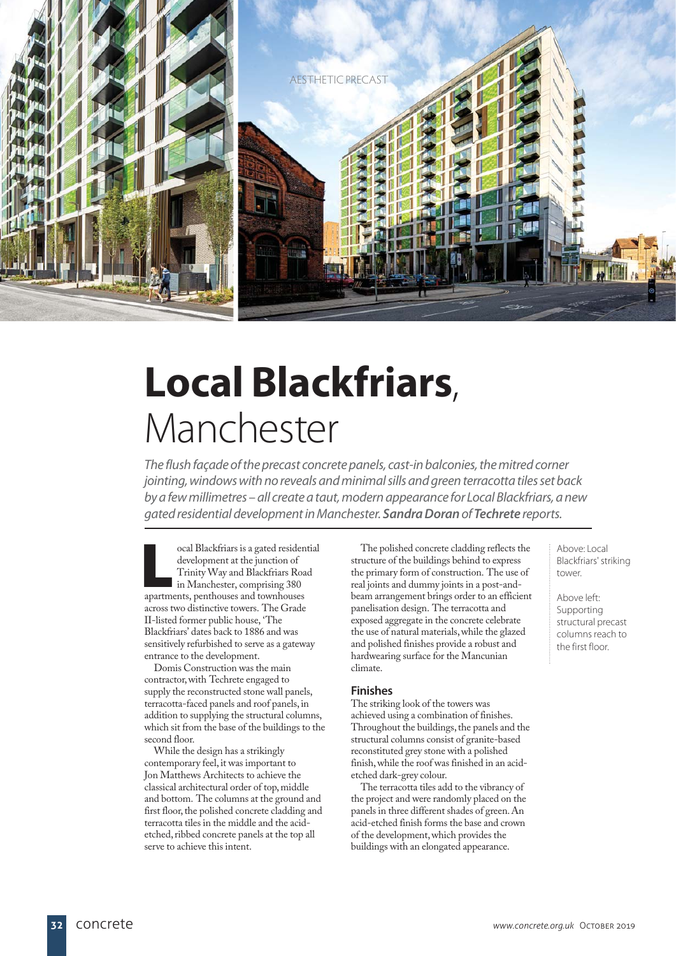

# **Local Blackfriars**, Manchester

The flush façade of the precast concrete panels, cast-in balconies, the mitred corner jointing, windows with no reveals and minimal sills and green terracotta tiles set back by a few millimetres – all create a taut, modern appearance for Local Blackfriars, a new gated residential development in Manchester. *Sandra Doran* of *Techrete* reports.

**L**ocal Blackfriars is a gated residential development at the junction of Trinity Way and Blackfriars Road In Manchester, comprising 380 apartments, penthouses and townhouses across two distinctive towers. The Grade II-listed former public house, 'The Blackfriars' dates back to 1886 and was sensitively refurbished to serve as a gateway entrance to the development.

Domis Construction was the main contractor, with Techrete engaged to supply the reconstructed stone wall panels, terracotta-faced panels and roof panels, in addition to supplying the structural columns, which sit from the base of the buildings to the second floor.

While the design has a strikingly contemporary feel, it was important to Jon Matthews Architects to achieve the classical architectural order of top, middle and bottom. The columns at the ground and first floor, the polished concrete cladding and terracotta tiles in the middle and the acidetched, ribbed concrete panels at the top all serve to achieve this intent.

The polished concrete cladding reflects the structure of the buildings behind to express the primary form of construction. The use of real joints and dummy joints in a post-andbeam arrangement brings order to an efficient panelisation design. The terracotta and exposed aggregate in the concrete celebrate the use of natural materials, while the glazed and polished finishes provide a robust and hardwearing surface for the Mancunian climate.

## **Finishes**

The striking look of the towers was achieved using a combination of finishes. Throughout the buildings, the panels and the structural columns consist of granite-based reconstituted grey stone with a polished finish, while the roof was finished in an acidetched dark-grey colour.

The terracotta tiles add to the vibrancy of the project and were randomly placed on the panels in three different shades of green. An acid-etched finish forms the base and crown of the development, which provides the buildings with an elongated appearance.

Above: Local Blackfriars' striking tower

Above left: Supporting structural precast columns reach to the first floor.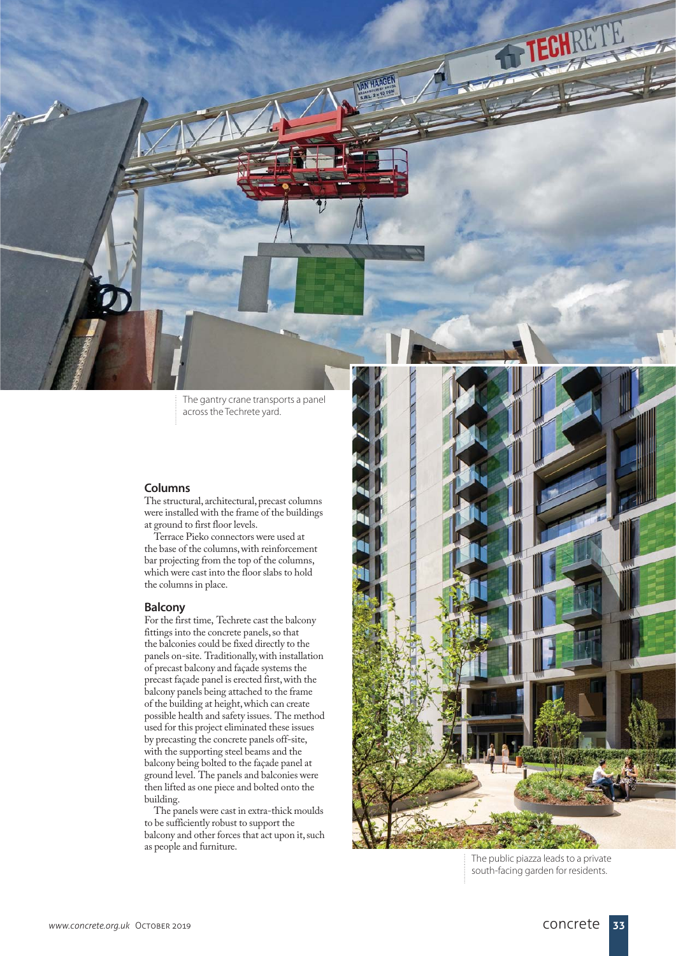The gantry crane transports a panel across the Techrete yard.

VAN HAAGEN

#### **Columns**

The structural, architectural, precast columns were installed with the frame of the buildings at ground to first floor levels.

Terrace Pieko connectors were used at the base of the columns, with reinforcement bar projecting from the top of the columns, which were cast into the floor slabs to hold the columns in place.

#### **Balcony**

For the first time, Techrete cast the balcony fittings into the concrete panels, so that the balconies could be fixed directly to the panels on-site. Traditionally, with installation of precast balcony and façade systems the precast façade panel is erected first, with the balcony panels being attached to the frame of the building at height, which can create possible health and safety issues. The method used for this project eliminated these issues by precasting the concrete panels off-site, with the supporting steel beams and the balcony being bolted to the façade panel at ground level. The panels and balconies were then lifted as one piece and bolted onto the building.

The panels were cast in extra-thick moulds to be sufficiently robust to support the balcony and other forces that act upon it, such as people and furniture.



The public piazza leads to a private south-facing garden for residents.